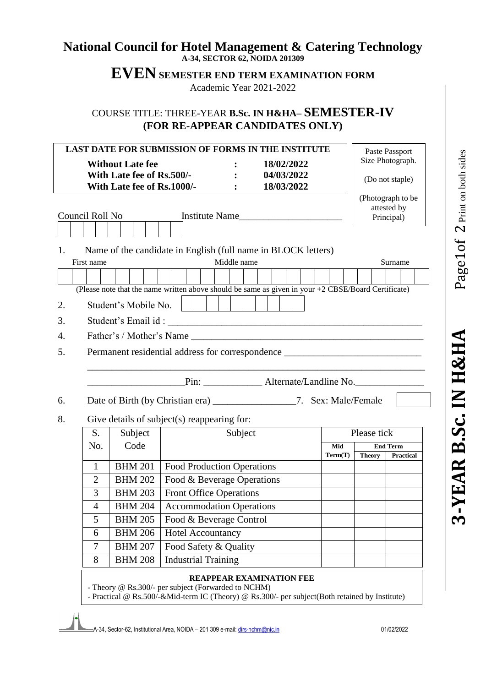## **National Council for Hotel Management & Catering Technology A-34, SECTOR 62, NOIDA 201309**

**EVEN SEMESTER END TERM EXAMINATION FORM**

Academic Year 2021-2022

COURSE TITLE: THREE-YEAR **B.Sc. IN H&HA– SEMESTER-IV (FOR RE-APPEAR CANDIDATES ONLY)**

| <b>LAST DATE FOR SUBMISSION OF FORMS IN THE INSTITUTE</b> |                                                                                                              |                                                                 |         |                                                                                                                                   |         |                                                | Paste Passport  |  |  |
|-----------------------------------------------------------|--------------------------------------------------------------------------------------------------------------|-----------------------------------------------------------------|---------|-----------------------------------------------------------------------------------------------------------------------------------|---------|------------------------------------------------|-----------------|--|--|
| 18/02/2022<br><b>Without Late fee</b>                     |                                                                                                              |                                                                 |         |                                                                                                                                   |         | Size Photograph.                               |                 |  |  |
|                                                           | With Late fee of Rs.500/-<br>With Late fee of Rs.1000/-                                                      |                                                                 | $\cdot$ | 04/03/2022<br>18/03/2022                                                                                                          |         |                                                | (Do not staple) |  |  |
| Council Roll No<br>Institute Name                         |                                                                                                              |                                                                 |         |                                                                                                                                   |         | (Photograph to be<br>attested by<br>Principal) |                 |  |  |
| 1.                                                        |                                                                                                              |                                                                 |         | Name of the candidate in English (full name in BLOCK letters)                                                                     |         |                                                |                 |  |  |
| First name                                                | Middle name                                                                                                  |                                                                 |         |                                                                                                                                   |         |                                                | Surname         |  |  |
|                                                           | (Please note that the name written above should be same as given in your +2 CBSE/Board Certificate)          |                                                                 |         |                                                                                                                                   |         |                                                |                 |  |  |
| 2.                                                        | Student's Mobile No.                                                                                         |                                                                 |         |                                                                                                                                   |         |                                                |                 |  |  |
| 3.                                                        | Student's Email id:                                                                                          |                                                                 |         | <u> 1989 - Jan Barnett, fransk politik (d. 1989)</u>                                                                              |         |                                                |                 |  |  |
| 4.                                                        |                                                                                                              |                                                                 |         |                                                                                                                                   |         |                                                |                 |  |  |
| 5.                                                        | Father's / Mother's Name<br>Permanent residential address for correspondence _______________________________ |                                                                 |         |                                                                                                                                   |         |                                                |                 |  |  |
|                                                           |                                                                                                              |                                                                 |         | Pin: _________________ Alternate/Landline No.                                                                                     |         |                                                |                 |  |  |
| 6.                                                        |                                                                                                              |                                                                 |         | Date of Birth (by Christian era) _____________________7. Sex: Male/Female                                                         |         |                                                |                 |  |  |
| 8.                                                        |                                                                                                              | Give details of subject(s) reappearing for:                     |         |                                                                                                                                   |         |                                                |                 |  |  |
| S.                                                        | Subject                                                                                                      |                                                                 | Subject |                                                                                                                                   |         | Please tick                                    |                 |  |  |
| No.                                                       | Code                                                                                                         |                                                                 |         |                                                                                                                                   | Mid     |                                                | <b>End Term</b> |  |  |
| $\mathbf{1}$                                              | <b>BHM 201</b>                                                                                               |                                                                 |         |                                                                                                                                   | Term(T) | <b>Theory</b>                                  | Practical       |  |  |
| $\overline{2}$                                            | <b>BHM 202</b>                                                                                               | <b>Food Production Operations</b><br>Food & Beverage Operations |         |                                                                                                                                   |         |                                                |                 |  |  |
| 3                                                         | <b>BHM 203</b>                                                                                               | <b>Front Office Operations</b>                                  |         |                                                                                                                                   |         |                                                |                 |  |  |
| $\overline{4}$                                            | <b>BHM 204</b>                                                                                               | <b>Accommodation Operations</b>                                 |         |                                                                                                                                   |         |                                                |                 |  |  |
| 5                                                         | <b>BHM 205</b>                                                                                               | Food & Beverage Control                                         |         |                                                                                                                                   |         |                                                |                 |  |  |
| 6                                                         | <b>BHM 206</b>                                                                                               | <b>Hotel Accountancy</b>                                        |         |                                                                                                                                   |         |                                                |                 |  |  |
| 7                                                         | <b>BHM 207</b>                                                                                               | Food Safety & Quality                                           |         |                                                                                                                                   |         |                                                |                 |  |  |
| 8                                                         | <b>BHM 208</b>                                                                                               | <b>Industrial Training</b>                                      |         |                                                                                                                                   |         |                                                |                 |  |  |
|                                                           |                                                                                                              | - Theory @ Rs.300/- per subject (Forwarded to NCHM)             |         | <b>REAPPEAR EXAMINATION FEE</b><br>- Practical @ Rs.500/-&Mid-term IC (Theory) @ Rs.300/- per subject(Both retained by Institute) |         |                                                |                 |  |  |

3-YEAR B.Sc. IN H&HA

A-34, Sector-62, Institutional Area, NOIDA – 201 309 e-mail: dirs-nchm@nic.in 01/02/2022